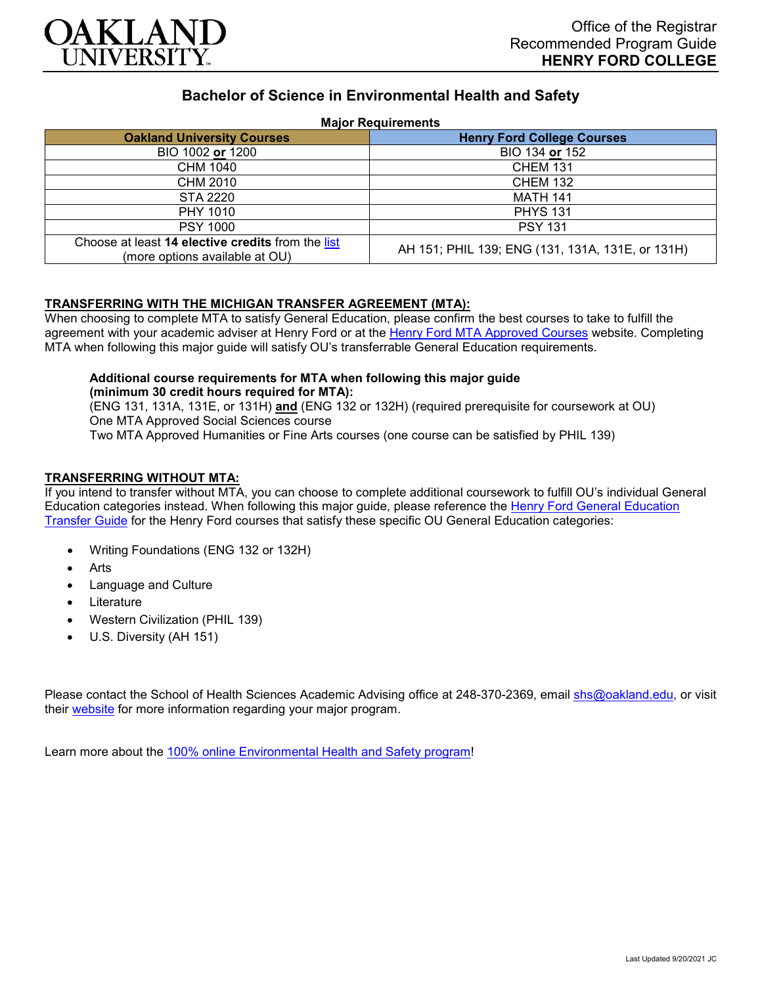

# **Bachelor of Science in Environmental Health and Safety**

#### **Major Requirements**

| <b>Oakland University Courses</b>                                                   | <b>Henry Ford College Courses</b>                |
|-------------------------------------------------------------------------------------|--------------------------------------------------|
| BIO 1002 or 1200                                                                    | BIO 134 or 152                                   |
| CHM 1040                                                                            | <b>CHEM 131</b>                                  |
| CHM 2010                                                                            | <b>CHEM 132</b>                                  |
| <b>STA 2220</b>                                                                     | <b>MATH 141</b>                                  |
| PHY 1010                                                                            | <b>PHYS 131</b>                                  |
| <b>PSY 1000</b>                                                                     | <b>PSY 131</b>                                   |
| Choose at least 14 elective credits from the list<br>(more options available at OU) | AH 151; PHIL 139; ENG (131, 131A, 131E, or 131H) |

### **TRANSFERRING WITH THE MICHIGAN TRANSFER AGREEMENT (MTA):**

When choosing to complete MTA to satisfy General Education, please confirm the best courses to take to fulfill the agreement with your academic adviser at Henry Ford or at the [Henry Ford MTA Approved Courses](https://www.hfcc.edu/registration-and-records/mta/hfc-agreement) website. Completing MTA when following this major guide will satisfy OU's transferrable General Education requirements.

# **Additional course requirements for MTA when following this major guide (minimum 30 credit hours required for MTA):**

(ENG 131, 131A, 131E, or 131H) **and** (ENG 132 or 132H) (required prerequisite for coursework at OU) One MTA Approved Social Sciences course Two MTA Approved Humanities or Fine Arts courses (one course can be satisfied by PHIL 139)

### **TRANSFERRING WITHOUT MTA:**

If you intend to transfer without MTA, you can choose to complete additional coursework to fulfill OU's individual General Education categories instead. When following this major guide, please reference the Henry Ford General Education [Transfer Guide](https://www.oakland.edu/Assets/Oakland/program-guides/henry-ford-college/university-general-education-requirements/Henry%20Ford%20Gen%20Ed.pdf) for the Henry Ford courses that satisfy these specific OU General Education categories:

- Writing Foundations (ENG 132 or 132H)
- **Arts**
- Language and Culture
- **Literature**
- Western Civilization (PHIL 139)
- U.S. Diversity (AH 151)

Please contact the School of Health Sciences Academic Advising office at 248-370-2369, email [shs@oakland.edu,](mailto:shs@oakland.edu) or visit their [website](http://www.oakland.edu/shs/advising) for more information regarding your major program.

Learn more about the [100% online Environmental Health and Safety program!](https://www.oakland.edu/online/undergraduate-degree-programs/ehs/)